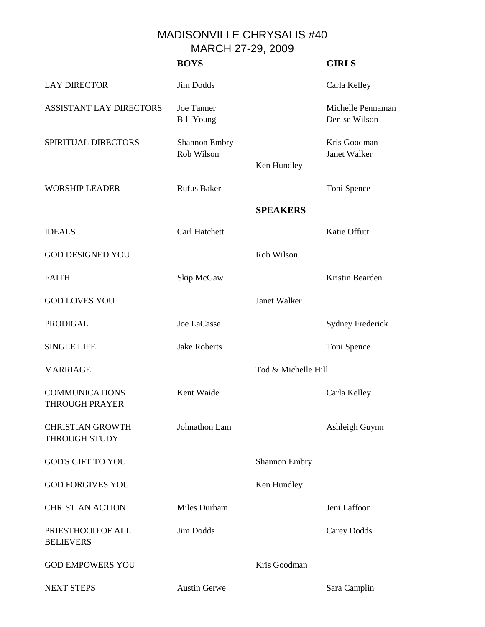## MADISONVILLE CHRYSALIS #40 MARCH 27-29, 2009

|                                                 | <b>BOYS</b>                            |                      | <b>GIRLS</b>                       |
|-------------------------------------------------|----------------------------------------|----------------------|------------------------------------|
| <b>LAY DIRECTOR</b>                             | Jim Dodds                              |                      | Carla Kelley                       |
| <b>ASSISTANT LAY DIRECTORS</b>                  | <b>Joe Tanner</b><br><b>Bill Young</b> |                      | Michelle Pennaman<br>Denise Wilson |
| SPIRITUAL DIRECTORS                             | Shannon Embry<br>Rob Wilson            | Ken Hundley          | Kris Goodman<br>Janet Walker       |
| <b>WORSHIP LEADER</b>                           | <b>Rufus Baker</b>                     |                      | Toni Spence                        |
|                                                 |                                        | <b>SPEAKERS</b>      |                                    |
| <b>IDEALS</b>                                   | Carl Hatchett                          |                      | Katie Offutt                       |
| <b>GOD DESIGNED YOU</b>                         |                                        | Rob Wilson           |                                    |
| <b>FAITH</b>                                    | Skip McGaw                             |                      | Kristin Bearden                    |
| <b>GOD LOVES YOU</b>                            |                                        | Janet Walker         |                                    |
| <b>PRODIGAL</b>                                 | Joe LaCasse                            |                      | <b>Sydney Frederick</b>            |
| <b>SINGLE LIFE</b>                              | <b>Jake Roberts</b>                    |                      | Toni Spence                        |
| <b>MARRIAGE</b>                                 |                                        | Tod & Michelle Hill  |                                    |
| <b>COMMUNICATIONS</b><br><b>THROUGH PRAYER</b>  | Kent Waide                             |                      | Carla Kelley                       |
| <b>CHRISTIAN GROWTH</b><br><b>THROUGH STUDY</b> | Johnathon Lam                          |                      | Ashleigh Guynn                     |
| <b>GOD'S GIFT TO YOU</b>                        |                                        | <b>Shannon Embry</b> |                                    |
| <b>GOD FORGIVES YOU</b>                         |                                        | Ken Hundley          |                                    |
| <b>CHRISTIAN ACTION</b>                         | Miles Durham                           |                      | Jeni Laffoon                       |
| PRIESTHOOD OF ALL<br><b>BELIEVERS</b>           | <b>Jim Dodds</b>                       |                      | Carey Dodds                        |
| <b>GOD EMPOWERS YOU</b>                         |                                        | Kris Goodman         |                                    |
| <b>NEXT STEPS</b>                               | <b>Austin Gerwe</b>                    |                      | Sara Camplin                       |